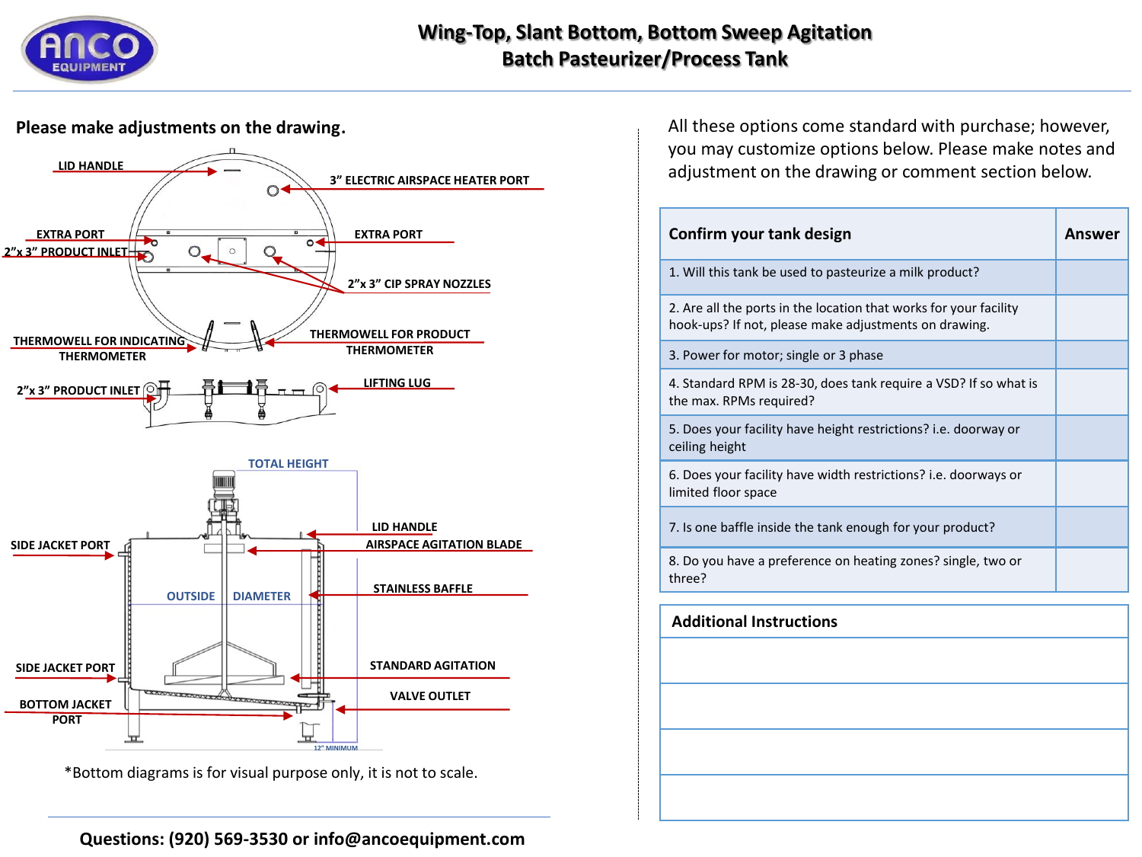

# **Wing-Top, Slant Bottom, Bottom Sweep Agitation Batch Pasteurizer/Process Tank**

### **Please make adjustments on the drawing**.



\*Bottom diagrams is for visual purpose only, it is not to scale.

**Questions: (920) 569-3530 or info@ancoequipment.com**

All these options come standard with purchase; however, you may customize options below. Please make notes and adjustment on the drawing or comment section below.

| Confirm your tank design                                                                                                   | Answer |
|----------------------------------------------------------------------------------------------------------------------------|--------|
| 1. Will this tank be used to pasteurize a milk product?                                                                    |        |
| 2. Are all the ports in the location that works for your facility<br>hook-ups? If not, please make adjustments on drawing. |        |
| 3. Power for motor; single or 3 phase                                                                                      |        |
| 4. Standard RPM is 28-30, does tank require a VSD? If so what is<br>the max. RPMs required?                                |        |
| 5. Does your facility have height restrictions? i.e. doorway or<br>ceiling height                                          |        |
| 6. Does your facility have width restrictions? i.e. doorways or<br>limited floor space                                     |        |
| 7. Is one baffle inside the tank enough for your product?                                                                  |        |
| 8. Do you have a preference on heating zones? single, two or<br>three?                                                     |        |
| <b>Additional Instructions</b>                                                                                             |        |
|                                                                                                                            |        |
|                                                                                                                            |        |
|                                                                                                                            |        |
|                                                                                                                            |        |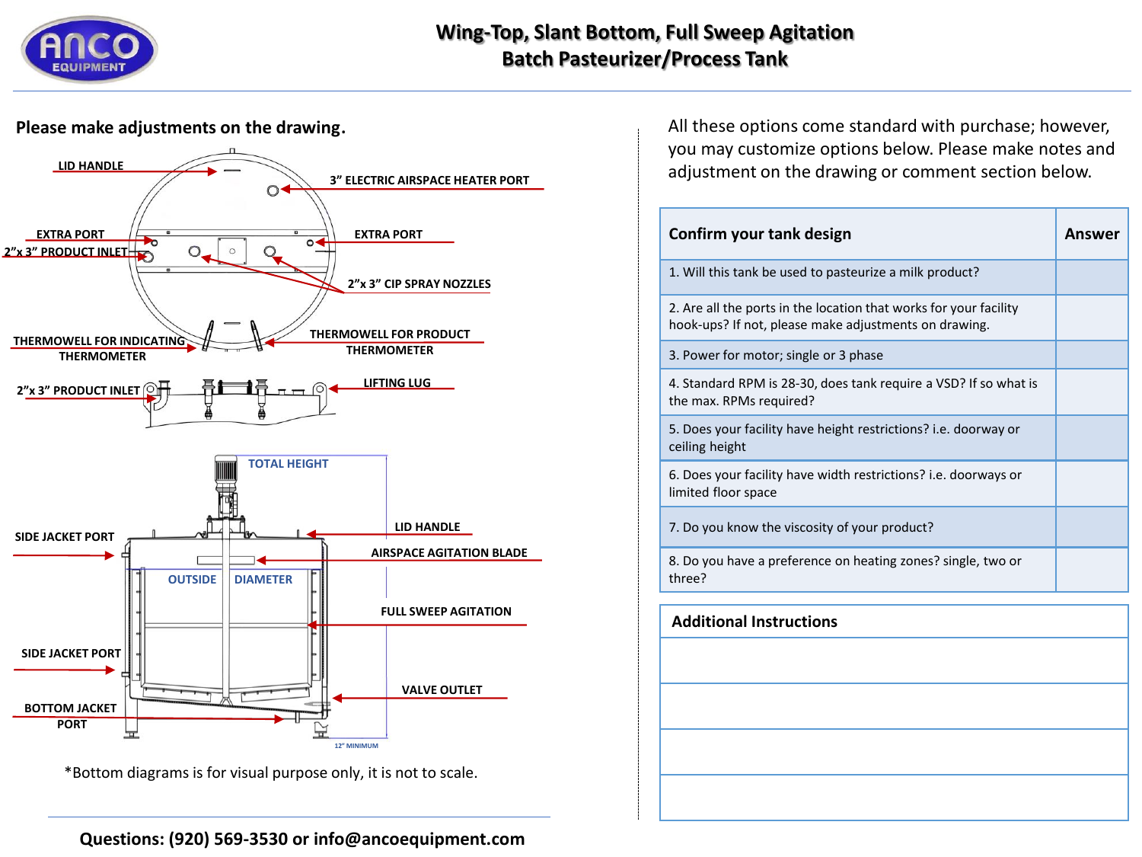

# **Wing-Top, Slant Bottom, Full Sweep Agitation Batch Pasteurizer/Process Tank**

### **Please make adjustments on the drawing**.



\*Bottom diagrams is for visual purpose only, it is not to scale.

All these options come standard with purchase; however, you may customize options below. Please make notes and adjustment on the drawing or comment section below.

| Confirm your tank design                                                                                                   | Answer |
|----------------------------------------------------------------------------------------------------------------------------|--------|
| 1. Will this tank be used to pasteurize a milk product?                                                                    |        |
| 2. Are all the ports in the location that works for your facility<br>hook-ups? If not, please make adjustments on drawing. |        |
| 3. Power for motor; single or 3 phase                                                                                      |        |
| 4. Standard RPM is 28-30, does tank require a VSD? If so what is<br>the max. RPMs required?                                |        |
| 5. Does your facility have height restrictions? i.e. doorway or<br>ceiling height                                          |        |
| 6. Does your facility have width restrictions? i.e. doorways or<br>limited floor space                                     |        |
| 7. Do you know the viscosity of your product?                                                                              |        |
| 8. Do you have a preference on heating zones? single, two or<br>three?                                                     |        |
| <b>Additional Instructions</b>                                                                                             |        |
|                                                                                                                            |        |
|                                                                                                                            |        |
|                                                                                                                            |        |
|                                                                                                                            |        |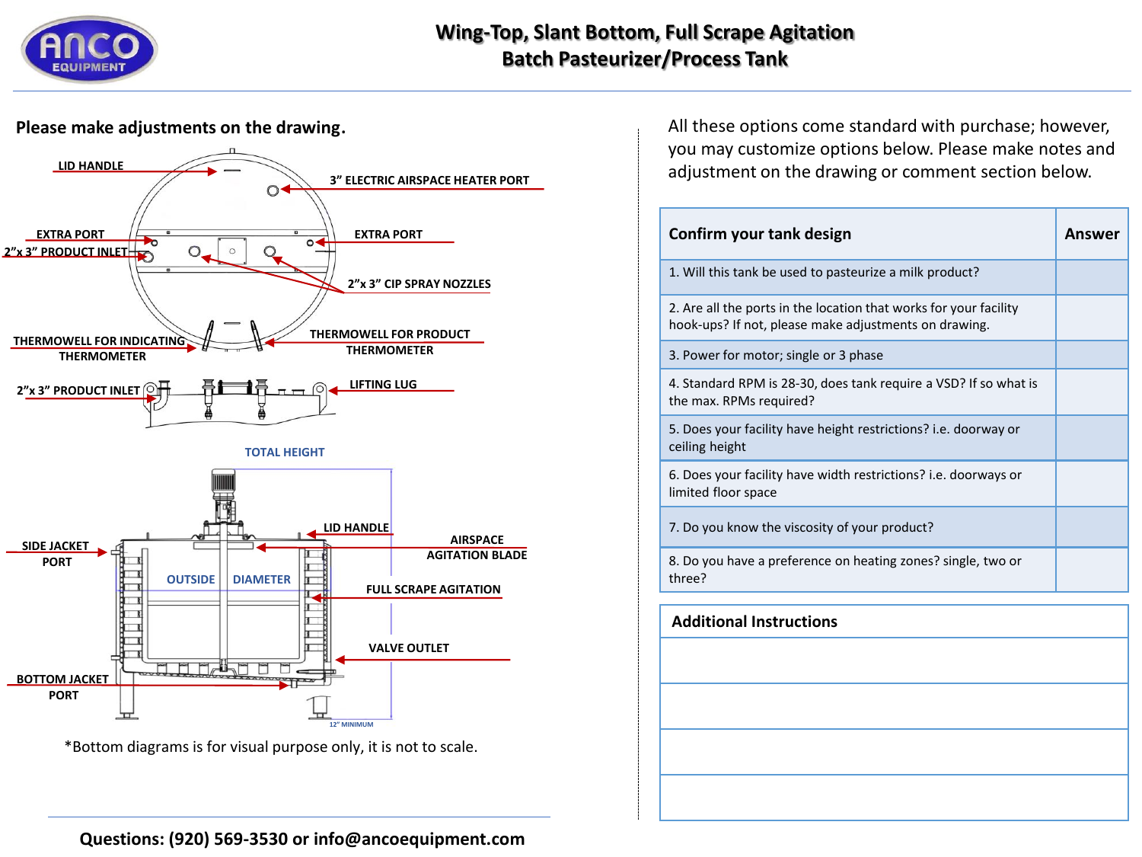

# **Wing-Top, Slant Bottom, Full Scrape Agitation Batch Pasteurizer/Process Tank**

### **Please make adjustments on the drawing**.



\*Bottom diagrams is for visual purpose only, it is not to scale.

All these options come standard with purchase; however, you may customize options below. Please make notes and adjustment on the drawing or comment section below.

| Confirm your tank design                                                                                                   | Answer |
|----------------------------------------------------------------------------------------------------------------------------|--------|
| 1. Will this tank be used to pasteurize a milk product?                                                                    |        |
| 2. Are all the ports in the location that works for your facility<br>hook-ups? If not, please make adjustments on drawing. |        |
| 3. Power for motor; single or 3 phase                                                                                      |        |
| 4. Standard RPM is 28-30, does tank require a VSD? If so what is<br>the max. RPMs required?                                |        |
| 5. Does your facility have height restrictions? i.e. doorway or<br>ceiling height                                          |        |
| 6. Does your facility have width restrictions? i.e. doorways or<br>limited floor space                                     |        |
| 7. Do you know the viscosity of your product?                                                                              |        |
| 8. Do you have a preference on heating zones? single, two or<br>three?                                                     |        |
| <b>Additional Instructions</b>                                                                                             |        |
|                                                                                                                            |        |
|                                                                                                                            |        |
|                                                                                                                            |        |
|                                                                                                                            |        |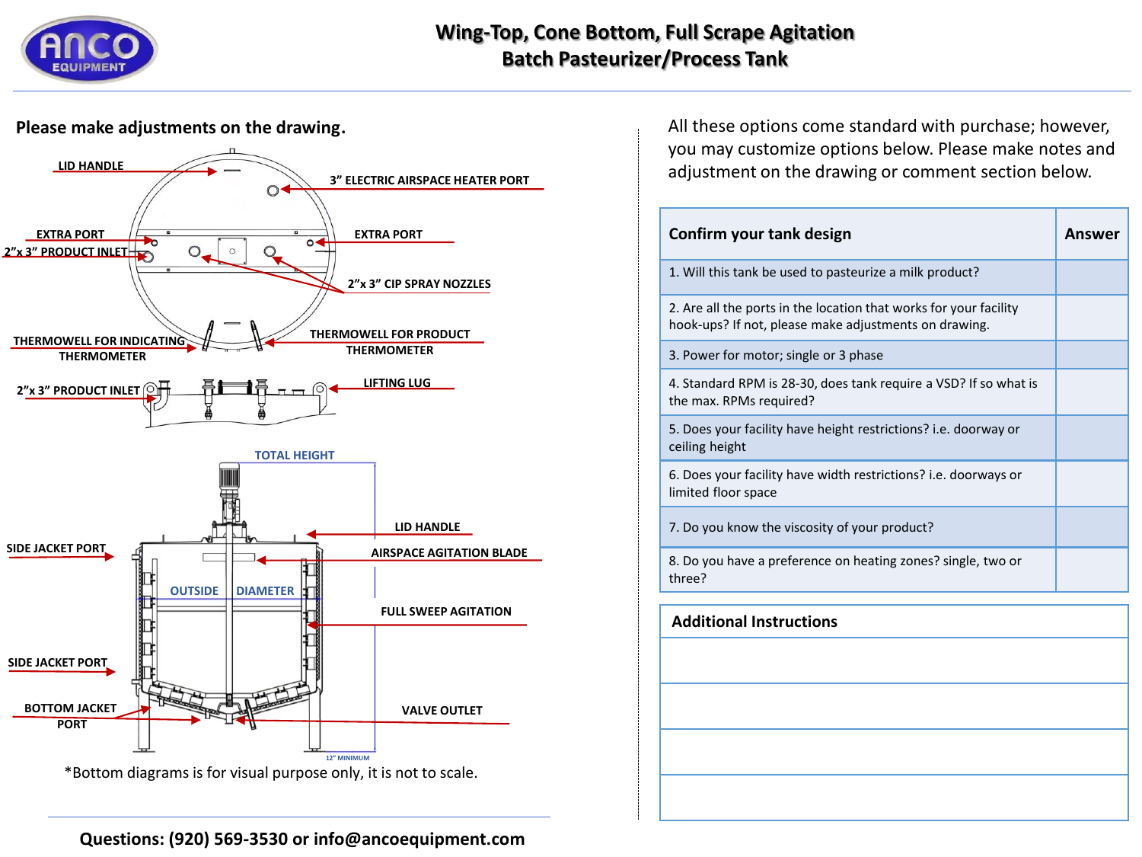

# **Wing-Top, Cone Bottom, Full Scrape Agitation Batch Pasteurizer/Process Tank**

### **Please make adjustments on the drawing**.



All these options come standard with purchase; however, you may customize options below. Please make notes and adjustment on the drawing or comment section below.

| Confirm your tank design                                                                                                   | Answer |
|----------------------------------------------------------------------------------------------------------------------------|--------|
| 1. Will this tank be used to pasteurize a milk product?                                                                    |        |
| 2. Are all the ports in the location that works for your facility<br>hook-ups? If not, please make adjustments on drawing. |        |
| 3. Power for motor; single or 3 phase                                                                                      |        |
| 4. Standard RPM is 28-30, does tank require a VSD? If so what is<br>the max. RPMs required?                                |        |
| 5. Does your facility have height restrictions? i.e. doorway or<br>ceiling height                                          |        |
| 6. Does your facility have width restrictions? i.e. doorways or<br>limited floor space                                     |        |
| 7. Do you know the viscosity of your product?                                                                              |        |
| 8. Do you have a preference on heating zones? single, two or<br>three?                                                     |        |
| <b>Additional Instructions</b>                                                                                             |        |
|                                                                                                                            |        |
|                                                                                                                            |        |
|                                                                                                                            |        |
|                                                                                                                            |        |